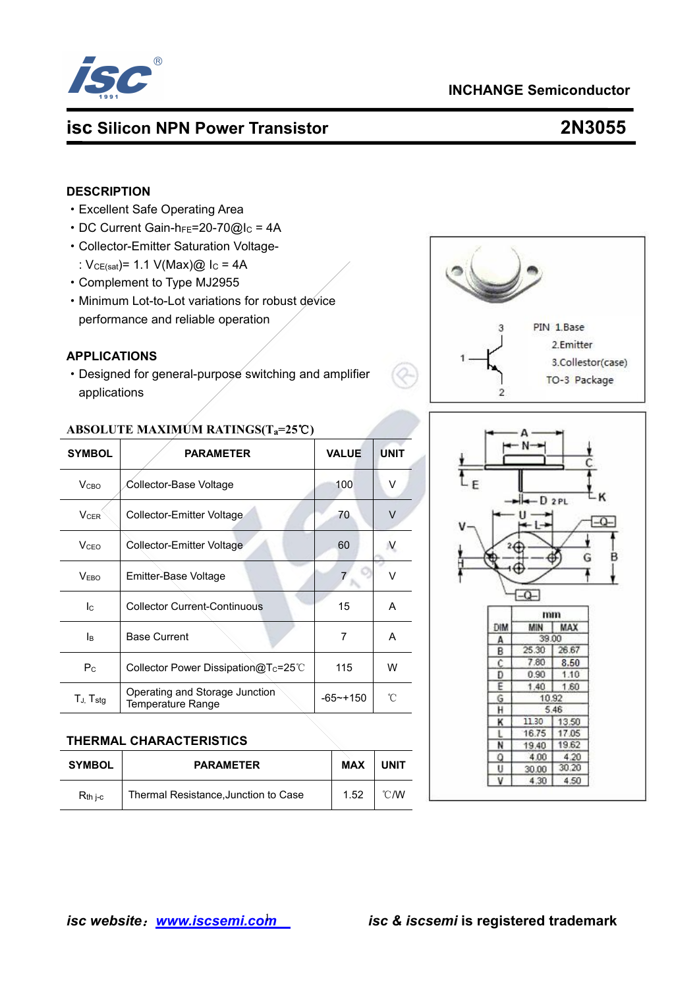

# **INCHANGE Semiconductor**

# **isc Silicon NPN Power Transistor 2N3055**

#### **DESCRIPTION**

- ·Excellent Safe Operating Area
- $\cdot$  DC Current Gain-h<sub>FE</sub>=20-70@I<sub>C</sub> = 4A
- ·Collector-Emitter Saturation Voltage-
- :  $V_{CE(sat)} = 1.1 V(Max)$ @ I<sub>C</sub> = 4A
- ·Complement to Type MJ2955
- ·Minimum Lot-to-Lot variations for robust device performance and reliable operation

### **APPLICATIONS**

• Designed for general-purpose switching and amplifier applications

### **ABSOLUTE MAXIMUM RATINGS(Ta=25**℃**)**

| <b>SYMBOL</b>             | <b>PARAMETER</b>                              | <b>VALUE</b> | <b>UNIT</b> |     |         |           |
|---------------------------|-----------------------------------------------|--------------|-------------|-----|---------|-----------|
| V <sub>CBO</sub>          | Collector-Base Voltage                        | 100          | V           |     | $-D2PL$ |           |
| $V_{CER}$                 | Collector-Emitter Voltage                     | 70           | $\vee$      |     |         |           |
| <b>V</b> <sub>CEO</sub>   | Collector-Emitter Voltage                     | 60           |             |     |         |           |
| V <sub>EBO</sub>          | Emitter-Base Voltage                          |              | v           |     |         |           |
| $\mathsf{I}_{\mathsf{C}}$ | <b>Collector Current-Continuous</b>           | 15           | A           |     |         |           |
|                           |                                               |              |             | DIM | MIN     | mm<br>MAX |
| lв                        | <b>Base Current</b>                           | 7            | A           | А   | 39.00   |           |
|                           |                                               |              |             | B   | 25.30   | 26.67     |
| $P_{C}$                   | Collector Power Dissipation $@T_c=25^{\circ}$ | 115          | W           |     | 7.80    | 8.50      |
|                           |                                               |              |             | D   | 0.90    | 1.10      |
|                           | Operating and Storage Junction                |              |             | Ε   | 1.40    | 1.60      |
| $T_{J}$ , $T_{stg}$       | Temperature Range                             | $-65$ ~+150  | °C          | G   |         | 10.92     |
|                           |                                               |              |             | н   |         | 5.46      |

#### **THERMAL CHARACTERISTICS**

| <b>SYMBOL</b> | <b>PARAMETER</b>                     | <b>MAX</b> | UNIT |  | 4.00<br>20.06 | 4.20<br>30.20 |  |
|---------------|--------------------------------------|------------|------|--|---------------|---------------|--|
|               |                                      |            |      |  | 4.30          | 4.50          |  |
| $R_{th}$ i-c  | Thermal Resistance, Junction to Case | .52        | °C/W |  |               |               |  |